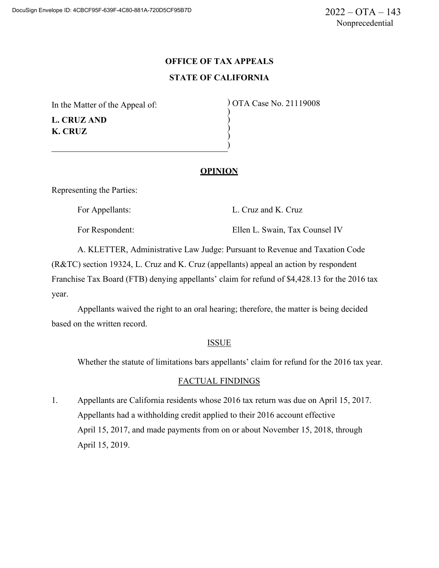# **OFFICE OF TAX APPEALS STATE OF CALIFORNIA**

) ) ) )

In the Matter of the Appeal of:

**L. CRUZ AND K. CRUZ**

) OTA Case No. 21119008 )

## **OPINION**

Representing the Parties:

For Appellants: L. Cruz and K. Cruz

For Respondent: Ellen L. Swain, Tax Counsel IV

A. KLETTER, Administrative Law Judge: Pursuant to Revenue and Taxation Code (R&TC) section 19324, L. Cruz and K. Cruz (appellants) appeal an action by respondent Franchise Tax Board (FTB) denying appellants' claim for refund of \$4,428.13 for the 2016 tax year.

Appellants waived the right to an oral hearing; therefore, the matter is being decided based on the written record.

#### ISSUE

Whether the statute of limitations bars appellants' claim for refund for the 2016 tax year.

# FACTUAL FINDINGS

1. Appellants are California residents whose 2016 tax return was due on April 15, 2017. Appellants had a withholding credit applied to their 2016 account effective April 15, 2017, and made payments from on or about November 15, 2018, through April 15, 2019.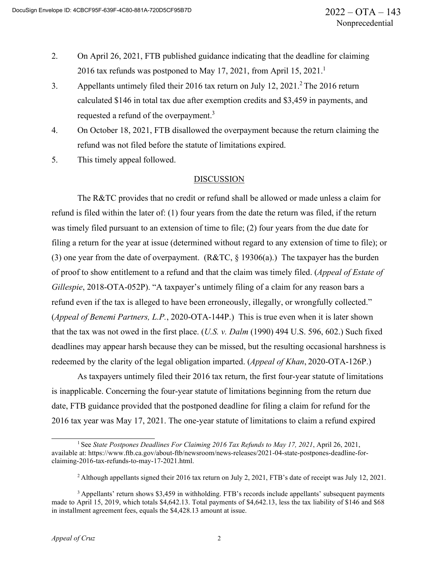- 2. On April 26, 2021, FTB published guidance indicating that the deadline for claiming 2016 tax refunds was postponed to May 17, 2021, from April 15, 2021.<sup>1</sup>
- 3. Appellants untimely filed their 2016 tax return on July 12,  $2021<sup>2</sup>$  The 2016 return calculated \$146 in total tax due after exemption credits and \$3,459 in payments, and requested a refund of the overpayment.<sup>3</sup>
- 4. On October 18, 2021, FTB disallowed the overpayment because the return claiming the refund was not filed before the statute of limitations expired.
- 5. This timely appeal followed.

## DISCUSSION

The R&TC provides that no credit or refund shall be allowed or made unless a claim for refund is filed within the later of: (1) four years from the date the return was filed, if the return was timely filed pursuant to an extension of time to file; (2) four years from the due date for filing a return for the year at issue (determined without regard to any extension of time to file); or (3) one year from the date of overpayment. (R&TC, § 19306(a).) The taxpayer has the burden of proof to show entitlement to a refund and that the claim was timely filed. (*Appeal of Estate of Gillespie*, 2018-OTA-052P). "A taxpayer's untimely filing of a claim for any reason bars a refund even if the tax is alleged to have been erroneously, illegally, or wrongfully collected." (*Appeal of Benemi Partners, L.P.*, 2020-OTA-144P.) This is true even when it is later shown that the tax was not owed in the first place. (*U.S. v. Dalm* (1990) 494 U.S. 596, 602.) Such fixed deadlines may appear harsh because they can be missed, but the resulting occasional harshness is redeemed by the clarity of the legal obligation imparted. (*Appeal of Khan*, 2020-OTA-126P.)

As taxpayers untimely filed their 2016 tax return, the first four-year statute of limitations is inapplicable. Concerning the four-year statute of limitations beginning from the return due date, FTB guidance provided that the postponed deadline for filing a claim for refund for the 2016 tax year was May 17, 2021. The one-year statute of limitations to claim a refund expired

<sup>1</sup> See *State Postpones Deadlines For Claiming 2016 Tax Refunds to May 17, 2021*, April 26, 2021, available at: https:/[/www.ftb.ca.gov/about-ftb/newsroom/news-releases/2021-04-state-postpones-deadline-for](http://www.ftb.ca.gov/about-ftb/newsroom/news-releases/2021-04-state-postpones-deadline-for-)claiming-2016-tax-refunds-to-may-17-2021.html.

<sup>2</sup> Although appellants signed their 2016 tax return on July 2, 2021, FTB's date of receipt was July 12, 2021.

<sup>3</sup> Appellants' return shows \$3,459 in withholding. FTB's records include appellants' subsequent payments made to April 15, 2019, which totals \$4,642.13. Total payments of \$4,642.13, less the tax liability of \$146 and \$68 in installment agreement fees, equals the \$4,428.13 amount at issue.